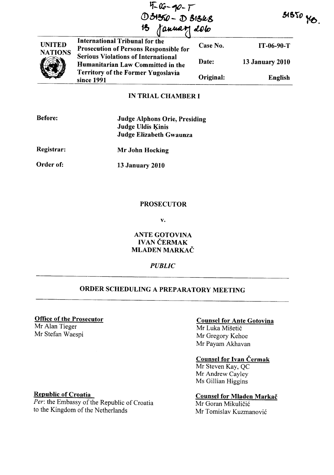$4-90-7$ (!) 04~ - **<D cSf6ft-g**   $\sigma$  (denote) ablo

 $51550 y_0$ .

| <b>UNITED</b><br><b>NATIONS</b> | <b>International Tribunal for the</b><br><b>Prosecution of Persons Responsible for</b><br><b>Serious Violations of International</b><br>Humanitarian Law Committed in the | Case No.  | IT-06-90-T             |
|---------------------------------|---------------------------------------------------------------------------------------------------------------------------------------------------------------------------|-----------|------------------------|
|                                 |                                                                                                                                                                           | Date:     | <b>13 January 2010</b> |
|                                 | <b>Territory of the Former Yugoslavia</b><br>since 1991                                                                                                                   | Original: | English                |
|                                 | IN TRIAL CHAMRER I                                                                                                                                                        |           |                        |

## IN TRIAL CHAMBER I

| <b>Before:</b> | <b>Judge Alphons Orie, Presiding</b><br><b>Judge Uldis Kinis</b><br><b>Judge Elizabeth Gwaunza</b> |
|----------------|----------------------------------------------------------------------------------------------------|
| Registrar:     | Mr John Hocking                                                                                    |
| Order of:      | <b>13 January 2010</b>                                                                             |

## **PROSECUTOR**

v.

ANTE GOTOVINA IVAN ČERMAK MLADEN MARKAČ

### *PUBLIC*

# ORDER SCHEDULING A PREPARATORY MEETING

### Office of the Prosecutor

Mr AIan Tieger Mr Stefan Waespi

## Counsel for Ante Gotovina

Mr Luka Mišetić Mr Gregory Kehoe Mr Payam Akhavan

### Counsel for Ivan Cermak

Mr Steven Kay, QC Mr Andrew Cayley Ms Gillian Higgins

## Counsel for Mladen Markac

Mr Goran Mikuličić Mr Tomislav Kuzmanović

### Republic of Croatia

Per: the Embassy of the Republic of Croatia to the Kingdom of the Netherlands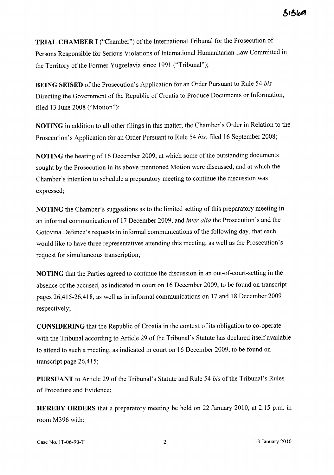**TRIAL CHAMBER I** ("Chamber") of the International Tribunal for the Prosecution of Persons Responsible for Serious Violations of International Humanitarian Law Committed in the Territory of the Former Yugoslavia since 1991 ("Tribunal");

**BEING SEISED** of the Prosecution's Application for an Order Pursuant to Rule 54 *bis*  Directing the Government of the Republic of Croatia to Produce Documents or Information, filed 13 June 2008 ("Motion");

**NOTING** in addition to all other filings in this matter, the Chamber's Order in Relation to the Prosecution's Application for an Order Pursuant to Rule 54 *bis,* filed 16 September 2008;

**NOTING** the hearing of 16 December 2009, at which some of the outstanding documents sought by the Prosecution in its above mentioned Motion were discussed, and at which the Chamber's intention to schedule a preparatory meeting to continue the discussion was expressed;

**NOTING** the Chamber's suggestions as to the limited setting of this preparatory meeting in an informal communication of 17 December 2009, and *inter alia* the Prosecution's and the Gotovina Defence's requests in informal communications of the following day, that each would like to have three representatives attending this meeting, as well as the Prosecution's request for simultaneous transcription;

**NOTING** that the Parties agreed to continue the discussion in an out-of-court-setting in the absence of the accused, as indicated in court on 16 December 2009, to be found on transcript pages 26,415-26,418, as well as in informal communications on 17 and 18 December 2009 respectively;

**CONSIDERING** that the Republic of Croatia in the context of its obligation to co-operate with the Tribunal according to Article 29 of the Tribunal's Statute has declared itself available to attend to such a meeting, as indicated in court on 16 December 2009, to be found on transcript page 26,415;

**PURSUANT** to Article 29 of the Tribunal's Statute and Rule 54 *his* of the Tribunal's Rules of Procedure and Evidence;

**HEREBY ORDERS** that a preparatory meeting be held on 22 January 2010, at 2.15 p.m. in room M396 with:

Case No. IT -06-90-T 2 13 January 2010